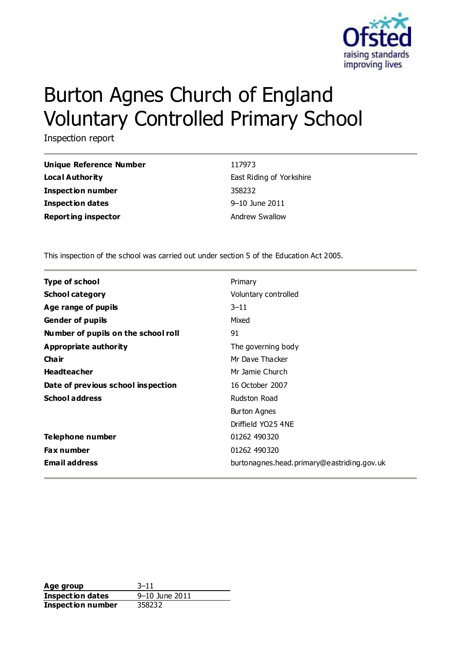

# Burton Agnes Church of England Voluntary Controlled Primary School

Inspection report

| Unique Reference Number    | 117973                   |
|----------------------------|--------------------------|
| Local Authority            | East Riding of Yorkshire |
| Inspection number          | 358232                   |
| <b>Inspection dates</b>    | $9 - 10$ June 2011       |
| <b>Reporting inspector</b> | <b>Andrew Swallow</b>    |

This inspection of the school was carried out under section 5 of the Education Act 2005.

| <b>Type of school</b>               | Primary                                    |
|-------------------------------------|--------------------------------------------|
| <b>School category</b>              | Voluntary controlled                       |
| Age range of pupils                 | $3 - 11$                                   |
| <b>Gender of pupils</b>             | Mixed                                      |
| Number of pupils on the school roll | 91                                         |
| Appropriate authority               | The governing body                         |
| <b>Chair</b>                        | Mr Dave Thacker                            |
| <b>Headteacher</b>                  | Mr Jamie Church                            |
| Date of previous school inspection  | 16 October 2007                            |
| <b>School address</b>               | Rudston Road                               |
|                                     | Burton Agnes                               |
|                                     | Driffield YO25 4NE                         |
| Telephone number                    | 01262 490320                               |
| <b>Fax number</b>                   | 01262 490320                               |
| <b>Email address</b>                | burtonagnes.head.primary@eastriding.gov.uk |

**Age group** 3–11 **Inspection dates** 9–10 June 2011 **Inspection number** 358232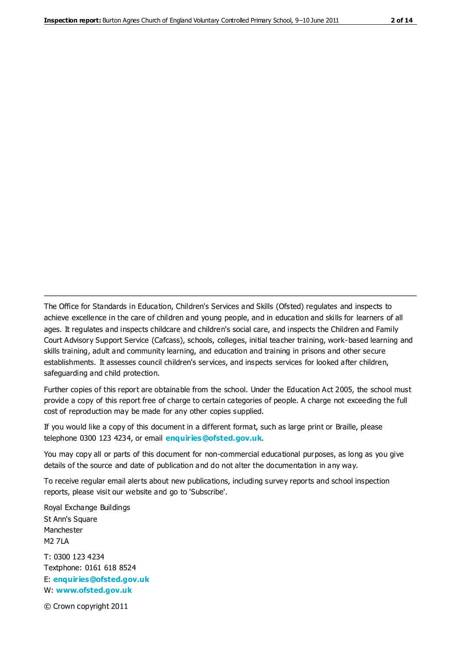The Office for Standards in Education, Children's Services and Skills (Ofsted) regulates and inspects to achieve excellence in the care of children and young people, and in education and skills for learners of all ages. It regulates and inspects childcare and children's social care, and inspects the Children and Family Court Advisory Support Service (Cafcass), schools, colleges, initial teacher training, work-based learning and skills training, adult and community learning, and education and training in prisons and other secure establishments. It assesses council children's services, and inspects services for looked after children, safeguarding and child protection.

Further copies of this report are obtainable from the school. Under the Education Act 2005, the school must provide a copy of this report free of charge to certain categories of people. A charge not exceeding the full cost of reproduction may be made for any other copies supplied.

If you would like a copy of this document in a different format, such as large print or Braille, please telephone 0300 123 4234, or email **[enquiries@ofsted.gov.uk](mailto:enquiries@ofsted.gov.uk)**.

You may copy all or parts of this document for non-commercial educational purposes, as long as you give details of the source and date of publication and do not alter the documentation in any way.

To receive regular email alerts about new publications, including survey reports and school inspection reports, please visit our website and go to 'Subscribe'.

Royal Exchange Buildings St Ann's Square Manchester M2 7LA T: 0300 123 4234 Textphone: 0161 618 8524 E: **[enquiries@ofsted.gov.uk](mailto:enquiries@ofsted.gov.uk)**

W: **[www.ofsted.gov.uk](http://www.ofsted.gov.uk/)**

© Crown copyright 2011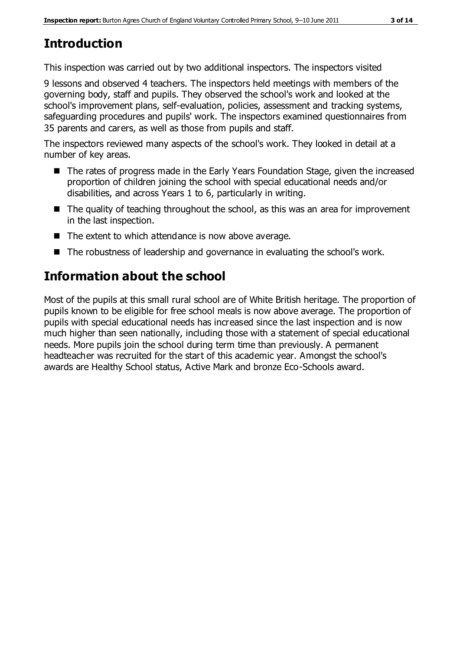# **Introduction**

This inspection was carried out by two additional inspectors. The inspectors visited

9 lessons and observed 4 teachers. The inspectors held meetings with members of the governing body, staff and pupils. They observed the school's work and looked at the school's improvement plans, self-evaluation, policies, assessment and tracking systems, safeguarding procedures and pupils' work. The inspectors examined questionnaires from 35 parents and carers, as well as those from pupils and staff.

The inspectors reviewed many aspects of the school's work. They looked in detail at a number of key areas.

- The rates of progress made in the Early Years Foundation Stage, given the increased proportion of children joining the school with special educational needs and/or disabilities, and across Years 1 to 6, particularly in writing.
- The quality of teaching throughout the school, as this was an area for improvement in the last inspection.
- The extent to which attendance is now above average.
- The robustness of leadership and governance in evaluating the school's work.

# **Information about the school**

Most of the pupils at this small rural school are of White British heritage. The proportion of pupils known to be eligible for free school meals is now above average. The proportion of pupils with special educational needs has increased since the last inspection and is now much higher than seen nationally, including those with a statement of special educational needs. More pupils join the school during term time than previously. A permanent headteacher was recruited for the start of this academic year. Amongst the school's awards are Healthy School status, Active Mark and bronze Eco-Schools award.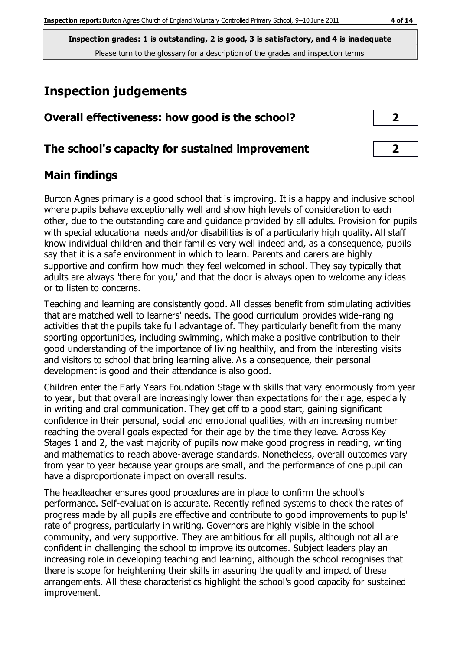# **Inspection judgements**

| Overall effectiveness: how good is the school?  | ר                       |  |
|-------------------------------------------------|-------------------------|--|
| The school's capacity for sustained improvement | $\overline{\mathbf{2}}$ |  |

## **Main findings**

Burton Agnes primary is a good school that is improving. It is a happy and inclusive school where pupils behave exceptionally well and show high levels of consideration to each other, due to the outstanding care and guidance provided by all adults. Provision for pupils with special educational needs and/or disabilities is of a particularly high quality. All staff know individual children and their families very well indeed and, as a consequence, pupils say that it is a safe environment in which to learn. Parents and carers are highly supportive and confirm how much they feel welcomed in school. They say typically that adults are always 'there for you,' and that the door is always open to welcome any ideas or to listen to concerns.

Teaching and learning are consistently good. All classes benefit from stimulating activities that are matched well to learners' needs. The good curriculum provides wide-ranging activities that the pupils take full advantage of. They particularly benefit from the many sporting opportunities, including swimming, which make a positive contribution to their good understanding of the importance of living healthily, and from the interesting visits and visitors to school that bring learning alive. As a consequence, their personal development is good and their attendance is also good.

Children enter the Early Years Foundation Stage with skills that vary enormously from year to year, but that overall are increasingly lower than expectations for their age, especially in writing and oral communication. They get off to a good start, gaining significant confidence in their personal, social and emotional qualities, with an increasing number reaching the overall goals expected for their age by the time they leave. Across Key Stages 1 and 2, the vast majority of pupils now make good progress in reading, writing and mathematics to reach above-average standards. Nonetheless, overall outcomes vary from year to year because year groups are small, and the performance of one pupil can have a disproportionate impact on overall results.

The headteacher ensures good procedures are in place to confirm the school's performance. Self-evaluation is accurate. Recently refined systems to check the rates of progress made by all pupils are effective and contribute to good improvements to pupils' rate of progress, particularly in writing. Governors are highly visible in the school community, and very supportive. They are ambitious for all pupils, although not all are confident in challenging the school to improve its outcomes. Subject leaders play an increasing role in developing teaching and learning, although the school recognises that there is scope for heightening their skills in assuring the quality and impact of these arrangements. All these characteristics highlight the school's good capacity for sustained improvement.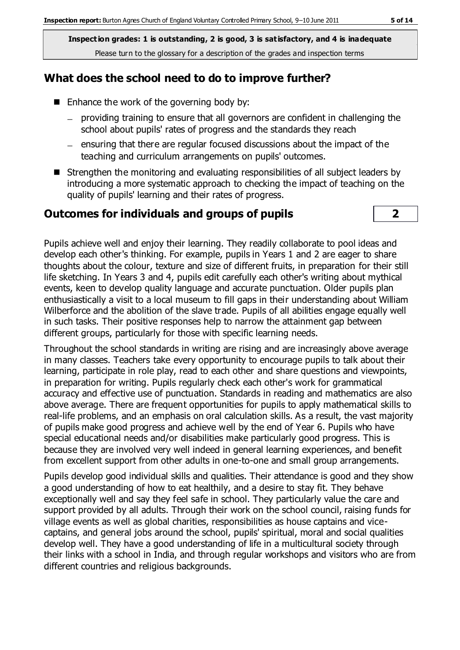## **What does the school need to do to improve further?**

- $\blacksquare$  Enhance the work of the governing body by:
	- providing training to ensure that all governors are confident in challenging the school about pupils' rates of progress and the standards they reach
	- $-$  ensuring that there are regular focused discussions about the impact of the teaching and curriculum arrangements on pupils' outcomes.
- Strengthen the monitoring and evaluating responsibilities of all subject leaders by introducing a more systematic approach to checking the impact of teaching on the quality of pupils' learning and their rates of progress.

#### **Outcomes for individuals and groups of pupils 2**



Pupils achieve well and enjoy their learning. They readily collaborate to pool ideas and develop each other's thinking. For example, pupils in Years 1 and 2 are eager to share thoughts about the colour, texture and size of different fruits, in preparation for their still life sketching. In Years 3 and 4, pupils edit carefully each other's writing about mythical events, keen to develop quality language and accurate punctuation. Older pupils plan enthusiastically a visit to a local museum to fill gaps in their understanding about William Wilberforce and the abolition of the slave trade. Pupils of all abilities engage equally well in such tasks. Their positive responses help to narrow the attainment gap between different groups, particularly for those with specific learning needs.

Throughout the school standards in writing are rising and are increasingly above average in many classes. Teachers take every opportunity to encourage pupils to talk about their learning, participate in role play, read to each other and share questions and viewpoints, in preparation for writing. Pupils regularly check each other's work for grammatical accuracy and effective use of punctuation. Standards in reading and mathematics are also above average. There are frequent opportunities for pupils to apply mathematical skills to real-life problems, and an emphasis on oral calculation skills. As a result, the vast majority of pupils make good progress and achieve well by the end of Year 6. Pupils who have special educational needs and/or disabilities make particularly good progress. This is because they are involved very well indeed in general learning experiences, and benefit from excellent support from other adults in one-to-one and small group arrangements.

Pupils develop good individual skills and qualities. Their attendance is good and they show a good understanding of how to eat healthily, and a desire to stay fit. They behave exceptionally well and say they feel safe in school. They particularly value the care and support provided by all adults. Through their work on the school council, raising funds for village events as well as global charities, responsibilities as house captains and vicecaptains, and general jobs around the school, pupils' spiritual, moral and social qualities develop well. They have a good understanding of life in a multicultural society through their links with a school in India, and through regular workshops and visitors who are from different countries and religious backgrounds.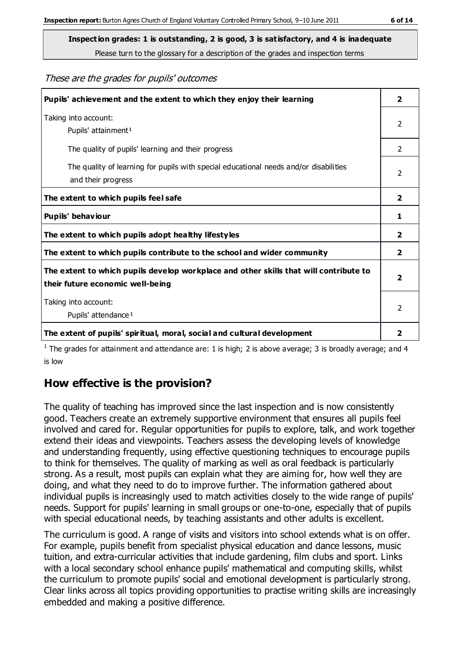Please turn to the glossary for a description of the grades and inspection terms

These are the grades for pupils' outcomes

| Pupils' achievement and the extent to which they enjoy their learning                                                     | $\mathbf{2}$            |
|---------------------------------------------------------------------------------------------------------------------------|-------------------------|
| Taking into account:<br>Pupils' attainment <sup>1</sup>                                                                   | $\overline{2}$          |
| The quality of pupils' learning and their progress                                                                        | $\mathcal{P}$           |
| The quality of learning for pupils with special educational needs and/or disabilities<br>and their progress               | $\mathfrak{p}$          |
| The extent to which pupils feel safe                                                                                      | $\overline{2}$          |
| Pupils' behaviour                                                                                                         | 1                       |
| The extent to which pupils adopt healthy lifestyles                                                                       | 2                       |
| The extent to which pupils contribute to the school and wider community                                                   | $\mathbf{2}$            |
| The extent to which pupils develop workplace and other skills that will contribute to<br>their future economic well-being | $\overline{\mathbf{2}}$ |
| Taking into account:<br>Pupils' attendance <sup>1</sup>                                                                   | $\mathcal{P}$           |
| The extent of pupils' spiritual, moral, social and cultural development                                                   | 2                       |

<sup>1</sup> The grades for attainment and attendance are: 1 is high; 2 is above average; 3 is broadly average; and 4 is low

# **How effective is the provision?**

The quality of teaching has improved since the last inspection and is now consistently good. Teachers create an extremely supportive environment that ensures all pupils feel involved and cared for. Regular opportunities for pupils to explore, talk, and work together extend their ideas and viewpoints. Teachers assess the developing levels of knowledge and understanding frequently, using effective questioning techniques to encourage pupils to think for themselves. The quality of marking as well as oral feedback is particularly strong. As a result, most pupils can explain what they are aiming for, how well they are doing, and what they need to do to improve further. The information gathered about individual pupils is increasingly used to match activities closely to the wide range of pupils' needs. Support for pupils' learning in small groups or one-to-one, especially that of pupils with special educational needs, by teaching assistants and other adults is excellent.

The curriculum is good. A range of visits and visitors into school extends what is on offer. For example, pupils benefit from specialist physical education and dance lessons, music tuition, and extra-curricular activities that include gardening, film clubs and sport. Links with a local secondary school enhance pupils' mathematical and computing skills, whilst the curriculum to promote pupils' social and emotional development is particularly strong. Clear links across all topics providing opportunities to practise writing skills are increasingly embedded and making a positive difference.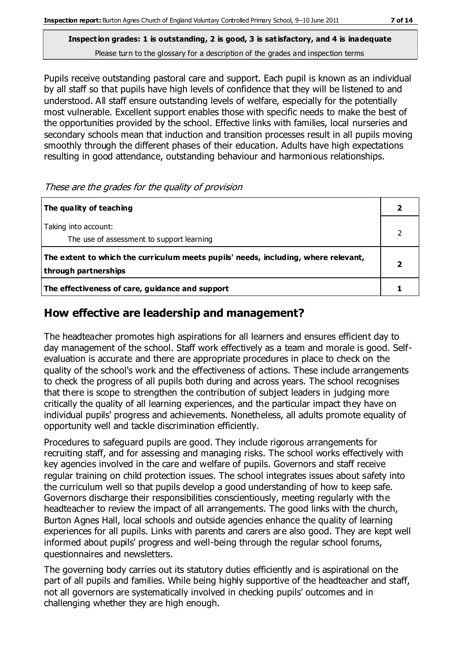Pupils receive outstanding pastoral care and support. Each pupil is known as an individual by all staff so that pupils have high levels of confidence that they will be listened to and understood. All staff ensure outstanding levels of welfare, especially for the potentially most vulnerable. Excellent support enables those with specific needs to make the best of the opportunities provided by the school. Effective links with families, local nurseries and secondary schools mean that induction and transition processes result in all pupils moving smoothly through the different phases of their education. Adults have high expectations resulting in good attendance, outstanding behaviour and harmonious relationships.

These are the grades for the quality of provision

| The quality of teaching                                                                                    |  |
|------------------------------------------------------------------------------------------------------------|--|
| Taking into account:<br>The use of assessment to support learning                                          |  |
| The extent to which the curriculum meets pupils' needs, including, where relevant,<br>through partnerships |  |
| The effectiveness of care, guidance and support                                                            |  |

## **How effective are leadership and management?**

The headteacher promotes high aspirations for all learners and ensures efficient day to day management of the school. Staff work effectively as a team and morale is good. Selfevaluation is accurate and there are appropriate procedures in place to check on the quality of the school's work and the effectiveness of actions. These include arrangements to check the progress of all pupils both during and across years. The school recognises that there is scope to strengthen the contribution of subject leaders in judging more critically the quality of all learning experiences, and the particular impact they have on individual pupils' progress and achievements. Nonetheless, all adults promote equality of opportunity well and tackle discrimination efficiently.

Procedures to safeguard pupils are good. They include rigorous arrangements for recruiting staff, and for assessing and managing risks. The school works effectively with key agencies involved in the care and welfare of pupils. Governors and staff receive regular training on child protection issues. The school integrates issues about safety into the curriculum well so that pupils develop a good understanding of how to keep safe. Governors discharge their responsibilities conscientiously, meeting regularly with the headteacher to review the impact of all arrangements. The good links with the church, Burton Agnes Hall, local schools and outside agencies enhance the quality of learning experiences for all pupils. Links with parents and carers are also good. They are kept well informed about pupils' progress and well-being through the regular school forums, questionnaires and newsletters.

The governing body carries out its statutory duties efficiently and is aspirational on the part of all pupils and families. While being highly supportive of the headteacher and staff, not all governors are systematically involved in checking pupils' outcomes and in challenging whether they are high enough.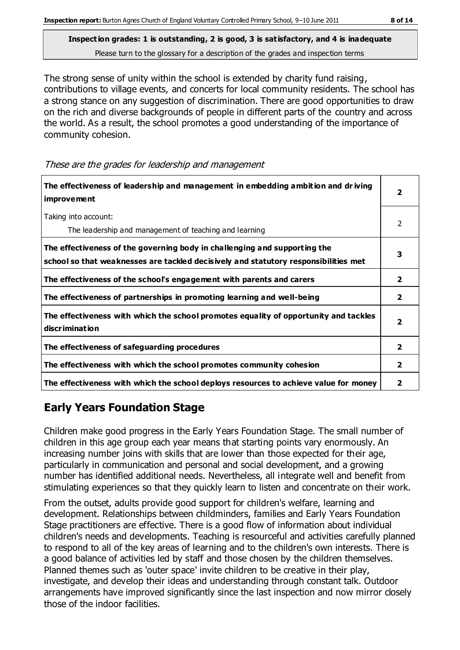The strong sense of unity within the school is extended by charity fund raising, contributions to village events, and concerts for local community residents. The school has a strong stance on any suggestion of discrimination. There are good opportunities to draw on the rich and diverse backgrounds of people in different parts of the country and across the world. As a result, the school promotes a good understanding of the importance of community cohesion.

These are the grades for leadership and management

| The effectiveness of leadership and management in embedding ambition and driving<br>improvement                                                                  |                |
|------------------------------------------------------------------------------------------------------------------------------------------------------------------|----------------|
| Taking into account:<br>The leadership and management of teaching and learning                                                                                   | 2              |
| The effectiveness of the governing body in challenging and supporting the<br>school so that weaknesses are tackled decisively and statutory responsibilities met | 3              |
| The effectiveness of the school's engagement with parents and carers                                                                                             | 2              |
| The effectiveness of partnerships in promoting learning and well-being                                                                                           | $\mathbf{2}$   |
| The effectiveness with which the school promotes equality of opportunity and tackles<br>discrimination                                                           | $\overline{2}$ |
| The effectiveness of safeguarding procedures                                                                                                                     | $\overline{2}$ |
| The effectiveness with which the school promotes community cohesion                                                                                              | $\mathbf{2}$   |
| The effectiveness with which the school deploys resources to achieve value for money                                                                             | 2              |

# **Early Years Foundation Stage**

Children make good progress in the Early Years Foundation Stage. The small number of children in this age group each year means that starting points vary enormously. An increasing number joins with skills that are lower than those expected for their age, particularly in communication and personal and social development, and a growing number has identified additional needs. Nevertheless, all integrate well and benefit from stimulating experiences so that they quickly learn to listen and concentrate on their work.

From the outset, adults provide good support for children's welfare, learning and development. Relationships between childminders, families and Early Years Foundation Stage practitioners are effective. There is a good flow of information about individual children's needs and developments. Teaching is resourceful and activities carefully planned to respond to all of the key areas of learning and to the children's own interests. There is a good balance of activities led by staff and those chosen by the children themselves. Planned themes such as 'outer space' invite children to be creative in their play, investigate, and develop their ideas and understanding through constant talk. Outdoor arrangements have improved significantly since the last inspection and now mirror closely those of the indoor facilities.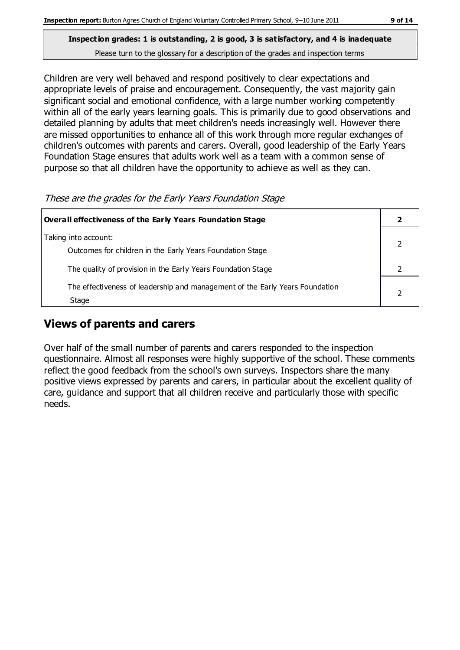Children are very well behaved and respond positively to clear expectations and appropriate levels of praise and encouragement. Consequently, the vast majority gain significant social and emotional confidence, with a large number working competently within all of the early years learning goals. This is primarily due to good observations and detailed planning by adults that meet children's needs increasingly well. However there are missed opportunities to enhance all of this work through more regular exchanges of children's outcomes with parents and carers. Overall, good leadership of the Early Years Foundation Stage ensures that adults work well as a team with a common sense of purpose so that all children have the opportunity to achieve as well as they can.

| These are the grades for the Early Years Foundation Stage |  |
|-----------------------------------------------------------|--|
|                                                           |  |

| Overall effectiveness of the Early Years Foundation Stage                             |  |
|---------------------------------------------------------------------------------------|--|
| Taking into account:<br>Outcomes for children in the Early Years Foundation Stage     |  |
| The quality of provision in the Early Years Foundation Stage                          |  |
| The effectiveness of leadership and management of the Early Years Foundation<br>Stage |  |

#### **Views of parents and carers**

Over half of the small number of parents and carers responded to the inspection questionnaire. Almost all responses were highly supportive of the school. These comments reflect the good feedback from the school's own surveys. Inspectors share the many positive views expressed by parents and carers, in particular about the excellent quality of care, guidance and support that all children receive and particularly those with specific needs.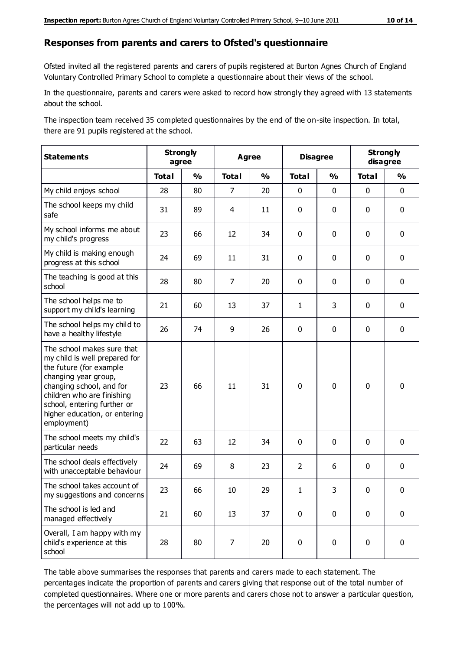#### **Responses from parents and carers to Ofsted's questionnaire**

Ofsted invited all the registered parents and carers of pupils registered at Burton Agnes Church of England Voluntary Controlled Primary School to complete a questionnaire about their views of the school.

In the questionnaire, parents and carers were asked to record how strongly they agreed with 13 statements about the school.

The inspection team received 35 completed questionnaires by the end of the on-site inspection. In total, there are 91 pupils registered at the school.

| <b>Statements</b>                                                                                                                                                                                                                                       |              | <b>Strongly</b><br>agree |                | <b>Disagree</b><br><b>Agree</b> |                | <b>Strongly</b><br>disagree |              |               |
|---------------------------------------------------------------------------------------------------------------------------------------------------------------------------------------------------------------------------------------------------------|--------------|--------------------------|----------------|---------------------------------|----------------|-----------------------------|--------------|---------------|
|                                                                                                                                                                                                                                                         | <b>Total</b> | $\frac{1}{2}$            | <b>Total</b>   | $\frac{1}{2}$                   | <b>Total</b>   | $\frac{0}{0}$               | <b>Total</b> | $\frac{0}{0}$ |
| My child enjoys school                                                                                                                                                                                                                                  | 28           | 80                       | $\overline{7}$ | 20                              | 0              | $\mathbf 0$                 | $\mathbf 0$  | $\mathbf 0$   |
| The school keeps my child<br>safe                                                                                                                                                                                                                       | 31           | 89                       | 4              | 11                              | 0              | $\mathbf 0$                 | $\mathbf 0$  | $\mathbf 0$   |
| My school informs me about<br>my child's progress                                                                                                                                                                                                       | 23           | 66                       | 12             | 34                              | 0              | $\mathbf{0}$                | $\mathbf 0$  | $\mathbf 0$   |
| My child is making enough<br>progress at this school                                                                                                                                                                                                    | 24           | 69                       | 11             | 31                              | 0              | $\mathbf 0$                 | $\mathbf 0$  | $\mathbf 0$   |
| The teaching is good at this<br>school                                                                                                                                                                                                                  | 28           | 80                       | $\overline{7}$ | 20                              | 0              | 0                           | 0            | $\mathbf 0$   |
| The school helps me to<br>support my child's learning                                                                                                                                                                                                   | 21           | 60                       | 13             | 37                              | $\mathbf{1}$   | 3                           | $\mathbf 0$  | $\mathbf 0$   |
| The school helps my child to<br>have a healthy lifestyle                                                                                                                                                                                                | 26           | 74                       | 9              | 26                              | 0              | $\mathbf 0$                 | $\mathbf 0$  | $\mathbf 0$   |
| The school makes sure that<br>my child is well prepared for<br>the future (for example<br>changing year group,<br>changing school, and for<br>children who are finishing<br>school, entering further or<br>higher education, or entering<br>employment) | 23           | 66                       | 11             | 31                              | $\mathbf 0$    | $\mathbf 0$                 | $\mathbf 0$  | $\mathbf 0$   |
| The school meets my child's<br>particular needs                                                                                                                                                                                                         | 22           | 63                       | 12             | 34                              | 0              | $\mathbf 0$                 | $\mathbf 0$  | $\mathbf 0$   |
| The school deals effectively<br>with unacceptable behaviour                                                                                                                                                                                             | 24           | 69                       | 8              | 23                              | $\overline{2}$ | 6                           | $\mathbf 0$  | $\mathbf 0$   |
| The school takes account of<br>my suggestions and concerns                                                                                                                                                                                              | 23           | 66                       | 10             | 29                              | 1              | 3                           | $\mathbf 0$  | $\mathbf{0}$  |
| The school is led and<br>managed effectively                                                                                                                                                                                                            | 21           | 60                       | 13             | 37                              | $\pmb{0}$      | $\mathbf 0$                 | $\mathbf 0$  | $\mathbf 0$   |
| Overall, I am happy with my<br>child's experience at this<br>school                                                                                                                                                                                     | 28           | 80                       | 7              | 20                              | $\pmb{0}$      | $\mathbf 0$                 | $\mathbf 0$  | $\pmb{0}$     |

The table above summarises the responses that parents and carers made to each statement. The percentages indicate the proportion of parents and carers giving that response out of the total number of completed questionnaires. Where one or more parents and carers chose not to answer a particular question, the percentages will not add up to 100%.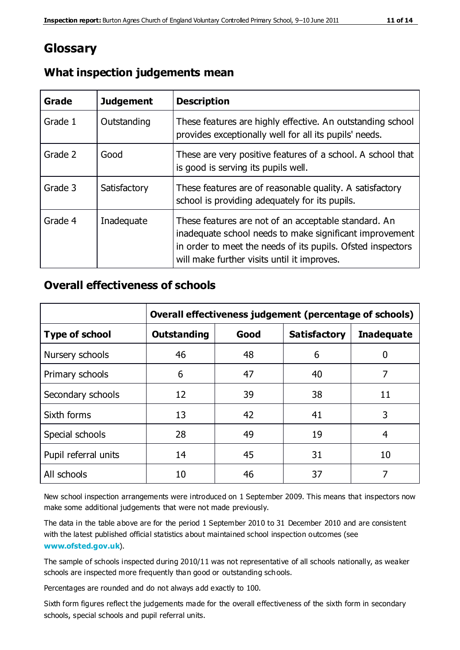# **Glossary**

| Grade   | <b>Judgement</b> | <b>Description</b>                                                                                                                                                                                                            |
|---------|------------------|-------------------------------------------------------------------------------------------------------------------------------------------------------------------------------------------------------------------------------|
| Grade 1 | Outstanding      | These features are highly effective. An outstanding school<br>provides exceptionally well for all its pupils' needs.                                                                                                          |
| Grade 2 | Good             | These are very positive features of a school. A school that<br>is good is serving its pupils well.                                                                                                                            |
| Grade 3 | Satisfactory     | These features are of reasonable quality. A satisfactory<br>school is providing adequately for its pupils.                                                                                                                    |
| Grade 4 | Inadequate       | These features are not of an acceptable standard. An<br>inadequate school needs to make significant improvement<br>in order to meet the needs of its pupils. Ofsted inspectors<br>will make further visits until it improves. |

## **What inspection judgements mean**

## **Overall effectiveness of schools**

|                       | Overall effectiveness judgement (percentage of schools) |      |                     |                   |
|-----------------------|---------------------------------------------------------|------|---------------------|-------------------|
| <b>Type of school</b> | <b>Outstanding</b>                                      | Good | <b>Satisfactory</b> | <b>Inadequate</b> |
| Nursery schools       | 46                                                      | 48   | 6                   |                   |
| Primary schools       | 6                                                       | 47   | 40                  | 7                 |
| Secondary schools     | 12                                                      | 39   | 38                  | 11                |
| Sixth forms           | 13                                                      | 42   | 41                  | 3                 |
| Special schools       | 28                                                      | 49   | 19                  | 4                 |
| Pupil referral units  | 14                                                      | 45   | 31                  | 10                |
| All schools           | 10                                                      | 46   | 37                  |                   |

New school inspection arrangements were introduced on 1 September 2009. This means that inspectors now make some additional judgements that were not made previously.

The data in the table above are for the period 1 September 2010 to 31 December 2010 and are consistent with the latest published official statistics about maintained school inspection outcomes (see **[www.ofsted.gov.uk](http://www.ofsted.gov.uk/)**).

The sample of schools inspected during 2010/11 was not representative of all schools nationally, as weaker schools are inspected more frequently than good or outstanding schools.

Percentages are rounded and do not always add exactly to 100.

Sixth form figures reflect the judgements made for the overall effectiveness of the sixth form in secondary schools, special schools and pupil referral units.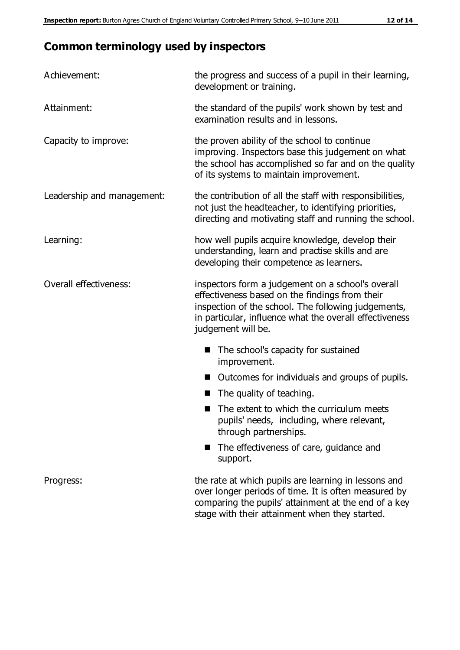# **Common terminology used by inspectors**

| Achievement:               | the progress and success of a pupil in their learning,<br>development or training.                                                                                                                                                          |  |  |
|----------------------------|---------------------------------------------------------------------------------------------------------------------------------------------------------------------------------------------------------------------------------------------|--|--|
| Attainment:                | the standard of the pupils' work shown by test and<br>examination results and in lessons.                                                                                                                                                   |  |  |
| Capacity to improve:       | the proven ability of the school to continue<br>improving. Inspectors base this judgement on what<br>the school has accomplished so far and on the quality<br>of its systems to maintain improvement.                                       |  |  |
| Leadership and management: | the contribution of all the staff with responsibilities,<br>not just the headteacher, to identifying priorities,<br>directing and motivating staff and running the school.                                                                  |  |  |
| Learning:                  | how well pupils acquire knowledge, develop their<br>understanding, learn and practise skills and are<br>developing their competence as learners.                                                                                            |  |  |
| Overall effectiveness:     | inspectors form a judgement on a school's overall<br>effectiveness based on the findings from their<br>inspection of the school. The following judgements,<br>in particular, influence what the overall effectiveness<br>judgement will be. |  |  |
|                            | The school's capacity for sustained<br>improvement.                                                                                                                                                                                         |  |  |
|                            | Outcomes for individuals and groups of pupils.                                                                                                                                                                                              |  |  |
|                            | The quality of teaching.                                                                                                                                                                                                                    |  |  |
|                            | The extent to which the curriculum meets<br>pupils' needs, including, where relevant,<br>through partnerships.                                                                                                                              |  |  |
|                            | The effectiveness of care, guidance and<br>support.                                                                                                                                                                                         |  |  |
| Progress:                  | the rate at which pupils are learning in lessons and<br>over longer periods of time. It is often measured by<br>comparing the pupils' attainment at the end of a key                                                                        |  |  |

stage with their attainment when they started.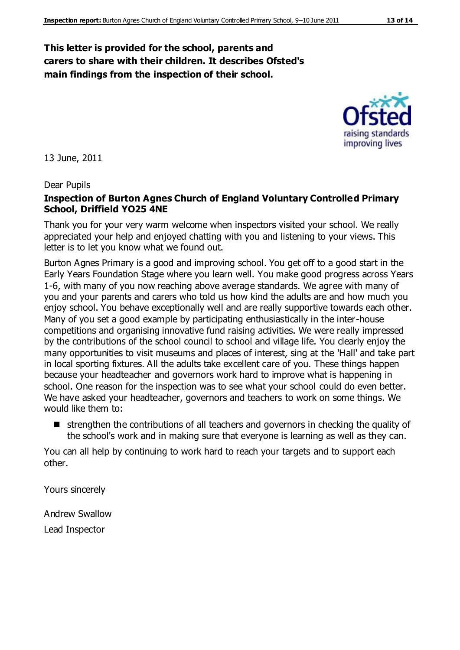#### **This letter is provided for the school, parents and carers to share with their children. It describes Ofsted's main findings from the inspection of their school.**

13 June, 2011

#### Dear Pupils

#### **Inspection of Burton Agnes Church of England Voluntary Controlled Primary School, Driffield YO25 4NE**

Thank you for your very warm welcome when inspectors visited your school. We really appreciated your help and enjoyed chatting with you and listening to your views. This letter is to let you know what we found out.

Burton Agnes Primary is a good and improving school. You get off to a good start in the Early Years Foundation Stage where you learn well. You make good progress across Years 1-6, with many of you now reaching above average standards. We agree with many of you and your parents and carers who told us how kind the adults are and how much you enjoy school. You behave exceptionally well and are really supportive towards each other. Many of you set a good example by participating enthusiastically in the inter-house competitions and organising innovative fund raising activities. We were really impressed by the contributions of the school council to school and village life. You clearly enjoy the many opportunities to visit museums and places of interest, sing at the 'Hall' and take part in local sporting fixtures. All the adults take excellent care of you. These things happen because your headteacher and governors work hard to improve what is happening in school. One reason for the inspection was to see what your school could do even better. We have asked your headteacher, governors and teachers to work on some things. We would like them to:

 strengthen the contributions of all teachers and governors in checking the quality of the school's work and in making sure that everyone is learning as well as they can.

You can all help by continuing to work hard to reach your targets and to support each other.

Yours sincerely

Andrew Swallow Lead Inspector